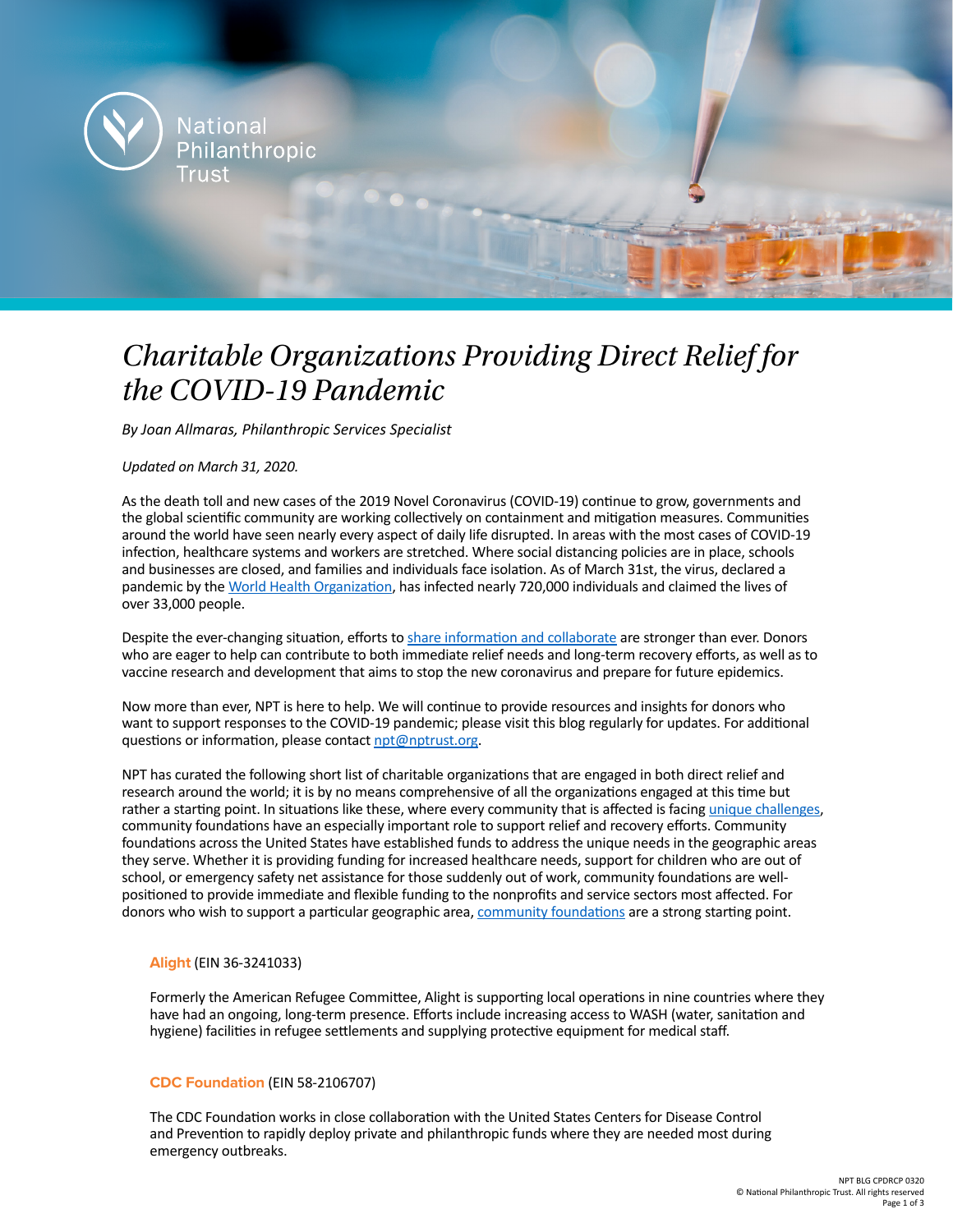

# *Charitable Organizations Providing Direct Relief for the COVID-19 Pandemic*

*By Joan Allmaras, Philanthropic Services Specialist*

*Updated on March 31, 2020.*

As the death toll and new cases of the 2019 Novel Coronavirus (COVID-19) continue to grow, governments and the global scientific community are working collectively on containment and mitigation measures. Communities around the world have seen nearly every aspect of daily life disrupted. In areas with the most cases of COVID-19 infection, healthcare systems and workers are stretched. Where social distancing policies are in place, schools and businesses are closed, and families and individuals face isolation. As of March 31st, the virus, declared a pandemic by the [World Health Organization,](https://www.who.int/dg/speeches/detail/who-director-general-s-opening-remarks-at-the-media-briefing-on-covid-19---11-march-2020) has infected nearly 720,000 individuals and claimed the lives of over 33,000 people.

Despite the ever-changing situation, efforts to [share information and collaborate](https://www.nptrust.org/philanthropic-resources/philanthropist/a-message-from-our-ceo-innovation-in-a-time-of-crisis/) are stronger than ever. Donors who are eager to help can contribute to both immediate relief needs and long-term recovery efforts, as well as to vaccine research and development that aims to stop the new coronavirus and prepare for future epidemics.

Now more than ever, NPT is here to help. We will continue to provide resources and insights for donors who want to support responses to the COVID-19 pandemic; please visit this blog regularly for updates. For additional questions or information, please contact [npt@nptrust.org](mailto:npt%40nptrust.org?subject=).

NPT has curated the following short list of charitable organizations that are engaged in both direct relief and research around the world; it is by no means comprehensive of all the organizations engaged at this time but rather a starting point. In situations like these, where every community that is affected is facing [unique challenges](https://www.nptrust.org/philanthropic-resources/philanthropist/the-ripple-effects-of-a-pandemic-the-why-and-how-of-supporting-community-efforts-during-the-covid-19-crisis/), community foundations have an especially important role to support relief and recovery efforts. Community foundations across the United States have established funds to address the unique needs in the geographic areas they serve. Whether it is providing funding for increased healthcare needs, support for children who are out of school, or emergency safety net assistance for those suddenly out of work, community foundations are wellpositioned to provide immediate and flexible funding to the nonprofits and service sectors most affected. For donors who wish to support a particular geographic area, [community foundations](https://www.cof.org/community-foundation-locator) are a strong starting point.

# **[Alight](https://wearealight.org/)** (EIN 36-3241033)

Formerly the American Refugee Committee, Alight is supporting local operations in nine countries where they have had an ongoing, long-term presence. Efforts include increasing access to WASH (water, sanitation and hygiene) facilities in refugee settlements and supplying protective equipment for medical staff.

## **[CDC Foundation](https://www.cdcfoundation.org/)** (EIN 58-2106707)

The CDC Foundation works in close collaboration with the United States Centers for Disease Control and Prevention to rapidly deploy private and philanthropic funds where they are needed most during emergency outbreaks.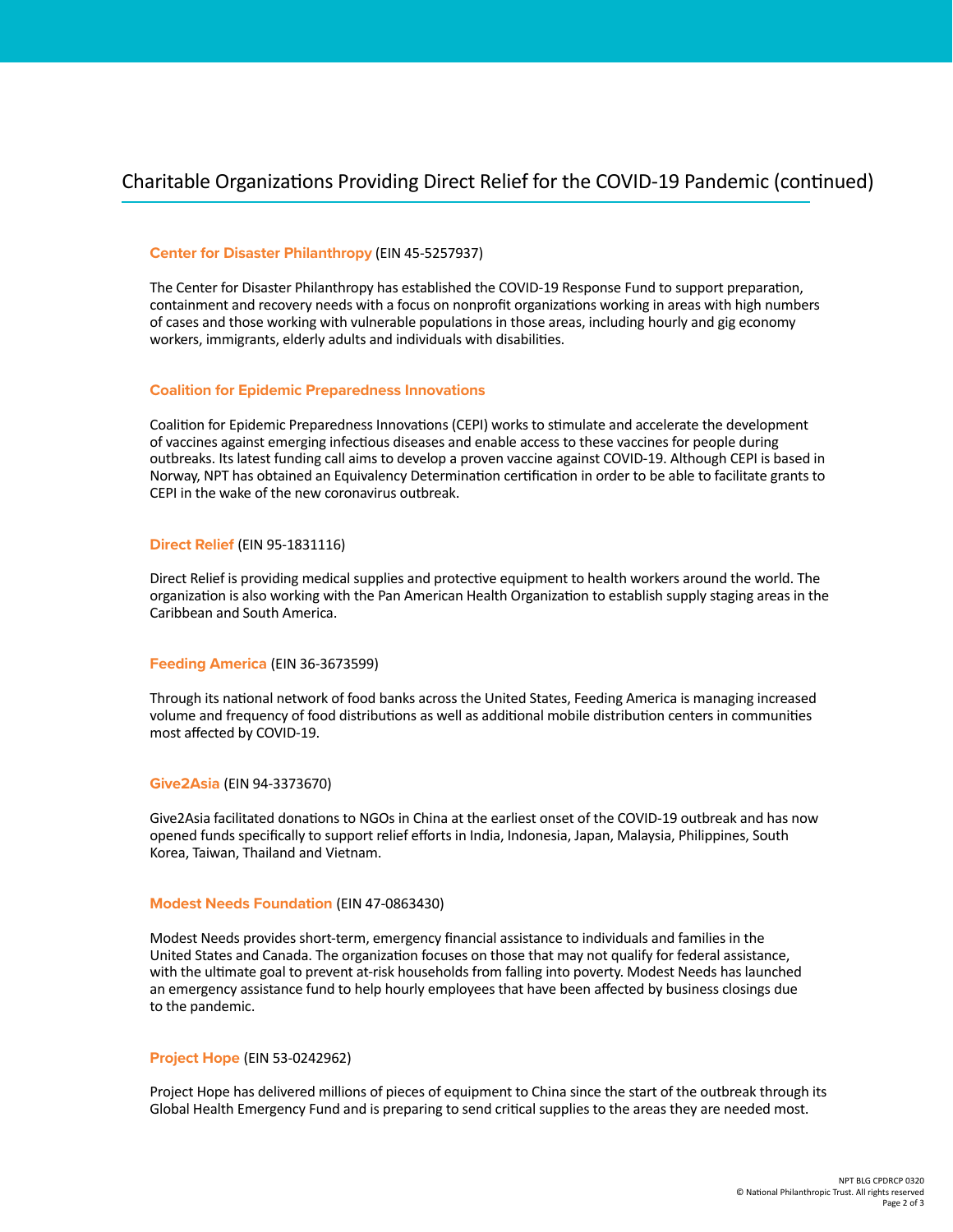# Charitable Organizations Providing Direct Relief for the COVID-19 Pandemic (continued)

## **[Center for Disaster Philanthropy](https://disasterphilanthropy.org/)** (EIN 45-5257937)

The Center for Disaster Philanthropy has established the COVID-19 Response Fund to support preparation, containment and recovery needs with a focus on nonprofit organizations working in areas with high numbers of cases and those working with vulnerable populations in those areas, including hourly and gig economy workers, immigrants, elderly adults and individuals with disabilities.

#### **[Coalition for Epidemic Preparedness Innovations](https://cepi.net/)**

Coalition for Epidemic Preparedness Innovations (CEPI) works to stimulate and accelerate the development of vaccines against emerging infectious diseases and enable access to these vaccines for people during outbreaks. Its latest funding call aims to develop a proven vaccine against COVID-19. Although CEPI is based in Norway, NPT has obtained an Equivalency Determination certification in order to be able to facilitate grants to CEPI in the wake of the new coronavirus outbreak.

#### **[Direct Relief](https://www.directrelief.org/)** (EIN 95-1831116)

Direct Relief is providing medical supplies and protective equipment to health workers around the world. The organization is also working with the Pan American Health Organization to establish supply staging areas in the Caribbean and South America.

#### **[Feeding America](https://www.feedingamerica.org/)** (EIN 36-3673599)

Through its national network of food banks across the United States, Feeding America is managing increased volume and frequency of food distributions as well as additional mobile distribution centers in communities most affected by COVID-19.

#### **[Give2Asia](https://give2asia.org/)** (EIN 94-3373670)

Give2Asia facilitated donations to NGOs in China at the earliest onset of the COVID-19 outbreak and has now opened funds specifically to support relief efforts in India, Indonesia, Japan, Malaysia, Philippines, South Korea, Taiwan, Thailand and Vietnam.

#### **[Modest Needs Foundation](https://www.modestneeds.org/)** (EIN 47-0863430)

Modest Needs provides short-term, emergency financial assistance to individuals and families in the United States and Canada. The organization focuses on those that may not qualify for federal assistance, with the ultimate goal to prevent at-risk households from falling into poverty. Modest Needs has launched an emergency assistance fund to help hourly employees that have been affected by business closings due to the pandemic.

## **[Project Hope](https://www.projecthope.org/)** (EIN 53-0242962)

Project Hope has delivered millions of pieces of equipment to China since the start of the outbreak through its Global Health Emergency Fund and is preparing to send critical supplies to the areas they are needed most.